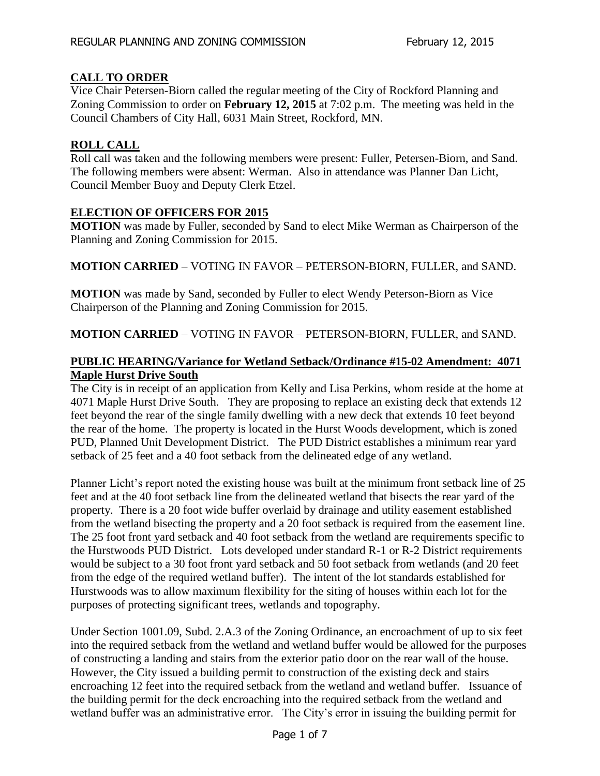# **CALL TO ORDER**

Vice Chair Petersen-Biorn called the regular meeting of the City of Rockford Planning and Zoning Commission to order on **February 12, 2015** at 7:02 p.m. The meeting was held in the Council Chambers of City Hall, 6031 Main Street, Rockford, MN.

## **ROLL CALL**

Roll call was taken and the following members were present: Fuller, Petersen-Biorn, and Sand. The following members were absent: Werman. Also in attendance was Planner Dan Licht, Council Member Buoy and Deputy Clerk Etzel.

## **ELECTION OF OFFICERS FOR 2015**

**MOTION** was made by Fuller, seconded by Sand to elect Mike Werman as Chairperson of the Planning and Zoning Commission for 2015.

**MOTION CARRIED** – VOTING IN FAVOR – PETERSON-BIORN, FULLER, and SAND.

**MOTION** was made by Sand, seconded by Fuller to elect Wendy Peterson-Biorn as Vice Chairperson of the Planning and Zoning Commission for 2015.

**MOTION CARRIED** – VOTING IN FAVOR – PETERSON-BIORN, FULLER, and SAND.

# **PUBLIC HEARING/Variance for Wetland Setback/Ordinance #15-02 Amendment: 4071 Maple Hurst Drive South**

The City is in receipt of an application from Kelly and Lisa Perkins, whom reside at the home at 4071 Maple Hurst Drive South. They are proposing to replace an existing deck that extends 12 feet beyond the rear of the single family dwelling with a new deck that extends 10 feet beyond the rear of the home. The property is located in the Hurst Woods development, which is zoned PUD, Planned Unit Development District. The PUD District establishes a minimum rear yard setback of 25 feet and a 40 foot setback from the delineated edge of any wetland.

Planner Licht's report noted the existing house was built at the minimum front setback line of 25 feet and at the 40 foot setback line from the delineated wetland that bisects the rear yard of the property. There is a 20 foot wide buffer overlaid by drainage and utility easement established from the wetland bisecting the property and a 20 foot setback is required from the easement line. The 25 foot front yard setback and 40 foot setback from the wetland are requirements specific to the Hurstwoods PUD District. Lots developed under standard R-1 or R-2 District requirements would be subject to a 30 foot front yard setback and 50 foot setback from wetlands (and 20 feet from the edge of the required wetland buffer). The intent of the lot standards established for Hurstwoods was to allow maximum flexibility for the siting of houses within each lot for the purposes of protecting significant trees, wetlands and topography.

Under Section 1001.09, Subd. 2.A.3 of the Zoning Ordinance, an encroachment of up to six feet into the required setback from the wetland and wetland buffer would be allowed for the purposes of constructing a landing and stairs from the exterior patio door on the rear wall of the house. However, the City issued a building permit to construction of the existing deck and stairs encroaching 12 feet into the required setback from the wetland and wetland buffer. Issuance of the building permit for the deck encroaching into the required setback from the wetland and wetland buffer was an administrative error. The City's error in issuing the building permit for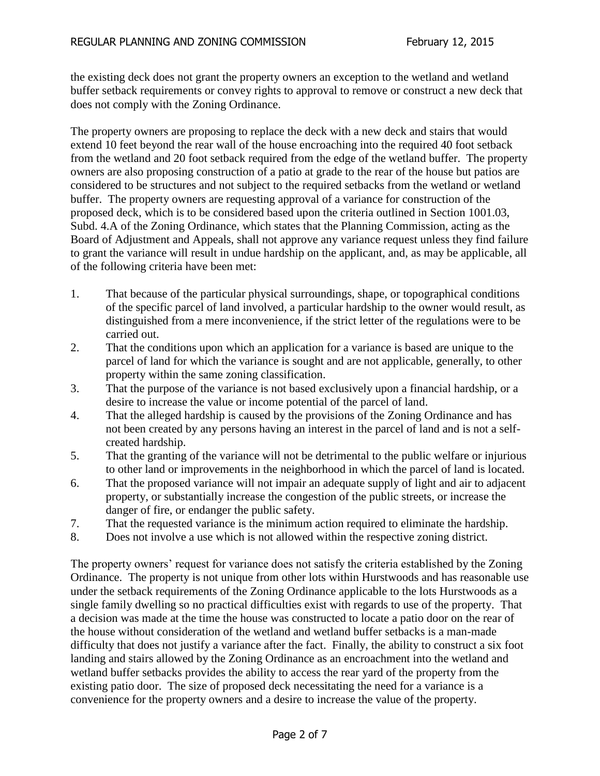the existing deck does not grant the property owners an exception to the wetland and wetland buffer setback requirements or convey rights to approval to remove or construct a new deck that does not comply with the Zoning Ordinance.

The property owners are proposing to replace the deck with a new deck and stairs that would extend 10 feet beyond the rear wall of the house encroaching into the required 40 foot setback from the wetland and 20 foot setback required from the edge of the wetland buffer. The property owners are also proposing construction of a patio at grade to the rear of the house but patios are considered to be structures and not subject to the required setbacks from the wetland or wetland buffer. The property owners are requesting approval of a variance for construction of the proposed deck, which is to be considered based upon the criteria outlined in Section 1001.03, Subd. 4.A of the Zoning Ordinance, which states that the Planning Commission, acting as the Board of Adjustment and Appeals, shall not approve any variance request unless they find failure to grant the variance will result in undue hardship on the applicant, and, as may be applicable, all of the following criteria have been met:

- 1. That because of the particular physical surroundings, shape, or topographical conditions of the specific parcel of land involved, a particular hardship to the owner would result, as distinguished from a mere inconvenience, if the strict letter of the regulations were to be carried out.
- 2. That the conditions upon which an application for a variance is based are unique to the parcel of land for which the variance is sought and are not applicable, generally, to other property within the same zoning classification.
- 3. That the purpose of the variance is not based exclusively upon a financial hardship, or a desire to increase the value or income potential of the parcel of land.
- 4. That the alleged hardship is caused by the provisions of the Zoning Ordinance and has not been created by any persons having an interest in the parcel of land and is not a selfcreated hardship.
- 5. That the granting of the variance will not be detrimental to the public welfare or injurious to other land or improvements in the neighborhood in which the parcel of land is located.
- 6. That the proposed variance will not impair an adequate supply of light and air to adjacent property, or substantially increase the congestion of the public streets, or increase the danger of fire, or endanger the public safety.
- 7. That the requested variance is the minimum action required to eliminate the hardship.
- 8. Does not involve a use which is not allowed within the respective zoning district.

The property owners' request for variance does not satisfy the criteria established by the Zoning Ordinance. The property is not unique from other lots within Hurstwoods and has reasonable use under the setback requirements of the Zoning Ordinance applicable to the lots Hurstwoods as a single family dwelling so no practical difficulties exist with regards to use of the property. That a decision was made at the time the house was constructed to locate a patio door on the rear of the house without consideration of the wetland and wetland buffer setbacks is a man-made difficulty that does not justify a variance after the fact. Finally, the ability to construct a six foot landing and stairs allowed by the Zoning Ordinance as an encroachment into the wetland and wetland buffer setbacks provides the ability to access the rear yard of the property from the existing patio door. The size of proposed deck necessitating the need for a variance is a convenience for the property owners and a desire to increase the value of the property.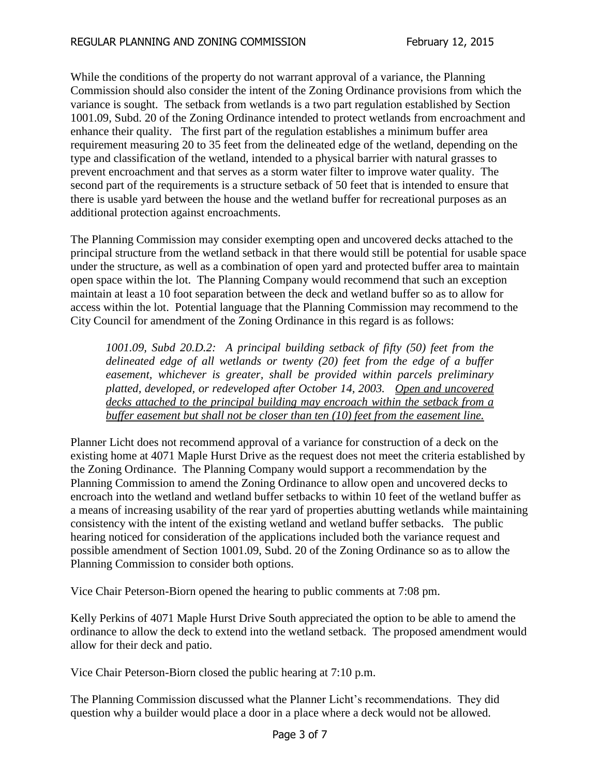While the conditions of the property do not warrant approval of a variance, the Planning Commission should also consider the intent of the Zoning Ordinance provisions from which the variance is sought. The setback from wetlands is a two part regulation established by Section 1001.09, Subd. 20 of the Zoning Ordinance intended to protect wetlands from encroachment and enhance their quality. The first part of the regulation establishes a minimum buffer area requirement measuring 20 to 35 feet from the delineated edge of the wetland, depending on the type and classification of the wetland, intended to a physical barrier with natural grasses to prevent encroachment and that serves as a storm water filter to improve water quality. The second part of the requirements is a structure setback of 50 feet that is intended to ensure that there is usable yard between the house and the wetland buffer for recreational purposes as an additional protection against encroachments.

The Planning Commission may consider exempting open and uncovered decks attached to the principal structure from the wetland setback in that there would still be potential for usable space under the structure, as well as a combination of open yard and protected buffer area to maintain open space within the lot. The Planning Company would recommend that such an exception maintain at least a 10 foot separation between the deck and wetland buffer so as to allow for access within the lot. Potential language that the Planning Commission may recommend to the City Council for amendment of the Zoning Ordinance in this regard is as follows:

*1001.09, Subd 20.D.2: A principal building setback of fifty (50) feet from the delineated edge of all wetlands or twenty (20) feet from the edge of a buffer easement, whichever is greater, shall be provided within parcels preliminary platted, developed, or redeveloped after October 14, 2003. Open and uncovered decks attached to the principal building may encroach within the setback from a buffer easement but shall not be closer than ten (10) feet from the easement line.* 

Planner Licht does not recommend approval of a variance for construction of a deck on the existing home at 4071 Maple Hurst Drive as the request does not meet the criteria established by the Zoning Ordinance. The Planning Company would support a recommendation by the Planning Commission to amend the Zoning Ordinance to allow open and uncovered decks to encroach into the wetland and wetland buffer setbacks to within 10 feet of the wetland buffer as a means of increasing usability of the rear yard of properties abutting wetlands while maintaining consistency with the intent of the existing wetland and wetland buffer setbacks. The public hearing noticed for consideration of the applications included both the variance request and possible amendment of Section 1001.09, Subd. 20 of the Zoning Ordinance so as to allow the Planning Commission to consider both options.

Vice Chair Peterson-Biorn opened the hearing to public comments at 7:08 pm.

Kelly Perkins of 4071 Maple Hurst Drive South appreciated the option to be able to amend the ordinance to allow the deck to extend into the wetland setback. The proposed amendment would allow for their deck and patio.

Vice Chair Peterson-Biorn closed the public hearing at 7:10 p.m.

The Planning Commission discussed what the Planner Licht's recommendations. They did question why a builder would place a door in a place where a deck would not be allowed.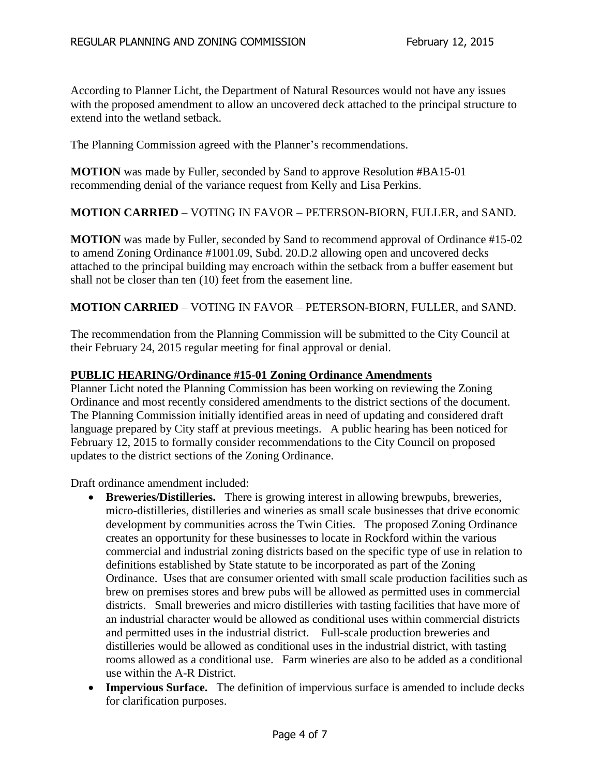According to Planner Licht, the Department of Natural Resources would not have any issues with the proposed amendment to allow an uncovered deck attached to the principal structure to extend into the wetland setback.

The Planning Commission agreed with the Planner's recommendations.

**MOTION** was made by Fuller, seconded by Sand to approve Resolution #BA15-01 recommending denial of the variance request from Kelly and Lisa Perkins.

## **MOTION CARRIED** – VOTING IN FAVOR – PETERSON-BIORN, FULLER, and SAND.

**MOTION** was made by Fuller, seconded by Sand to recommend approval of Ordinance #15-02 to amend Zoning Ordinance #1001.09, Subd. 20.D.2 allowing open and uncovered decks attached to the principal building may encroach within the setback from a buffer easement but shall not be closer than ten (10) feet from the easement line.

**MOTION CARRIED** – VOTING IN FAVOR – PETERSON-BIORN, FULLER, and SAND.

The recommendation from the Planning Commission will be submitted to the City Council at their February 24, 2015 regular meeting for final approval or denial.

#### **PUBLIC HEARING/Ordinance #15-01 Zoning Ordinance Amendments**

Planner Licht noted the Planning Commission has been working on reviewing the Zoning Ordinance and most recently considered amendments to the district sections of the document. The Planning Commission initially identified areas in need of updating and considered draft language prepared by City staff at previous meetings. A public hearing has been noticed for February 12, 2015 to formally consider recommendations to the City Council on proposed updates to the district sections of the Zoning Ordinance.

Draft ordinance amendment included:

- **Breweries/Distilleries.** There is growing interest in allowing brewpubs, breweries, micro-distilleries, distilleries and wineries as small scale businesses that drive economic development by communities across the Twin Cities. The proposed Zoning Ordinance creates an opportunity for these businesses to locate in Rockford within the various commercial and industrial zoning districts based on the specific type of use in relation to definitions established by State statute to be incorporated as part of the Zoning Ordinance. Uses that are consumer oriented with small scale production facilities such as brew on premises stores and brew pubs will be allowed as permitted uses in commercial districts. Small breweries and micro distilleries with tasting facilities that have more of an industrial character would be allowed as conditional uses within commercial districts and permitted uses in the industrial district. Full-scale production breweries and distilleries would be allowed as conditional uses in the industrial district, with tasting rooms allowed as a conditional use. Farm wineries are also to be added as a conditional use within the A-R District.
- **Impervious Surface.** The definition of impervious surface is amended to include decks for clarification purposes.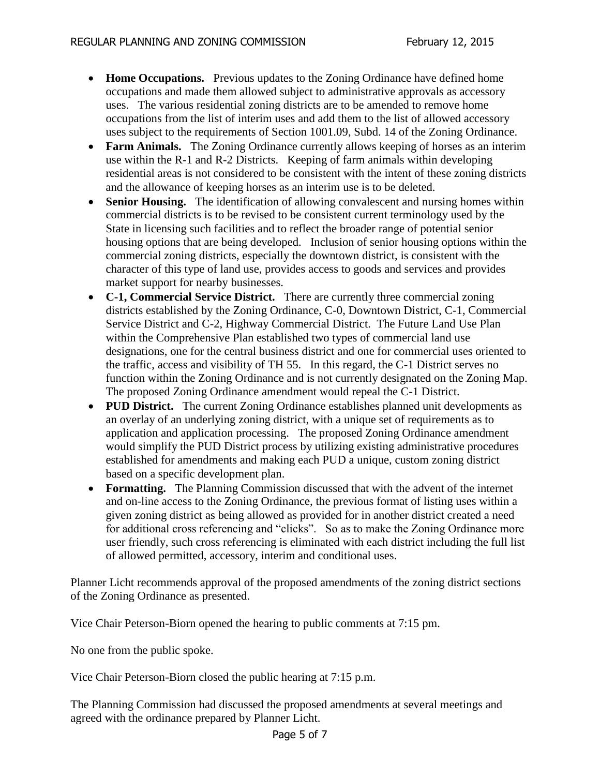- **Home Occupations.** Previous updates to the Zoning Ordinance have defined home occupations and made them allowed subject to administrative approvals as accessory uses. The various residential zoning districts are to be amended to remove home occupations from the list of interim uses and add them to the list of allowed accessory uses subject to the requirements of Section 1001.09, Subd. 14 of the Zoning Ordinance.
- **Farm Animals.** The Zoning Ordinance currently allows keeping of horses as an interim use within the R-1 and R-2 Districts. Keeping of farm animals within developing residential areas is not considered to be consistent with the intent of these zoning districts and the allowance of keeping horses as an interim use is to be deleted.
- **Senior Housing.** The identification of allowing convalescent and nursing homes within commercial districts is to be revised to be consistent current terminology used by the State in licensing such facilities and to reflect the broader range of potential senior housing options that are being developed. Inclusion of senior housing options within the commercial zoning districts, especially the downtown district, is consistent with the character of this type of land use, provides access to goods and services and provides market support for nearby businesses.
- **C-1, Commercial Service District.** There are currently three commercial zoning districts established by the Zoning Ordinance, C-0, Downtown District, C-1, Commercial Service District and C-2, Highway Commercial District. The Future Land Use Plan within the Comprehensive Plan established two types of commercial land use designations, one for the central business district and one for commercial uses oriented to the traffic, access and visibility of TH 55. In this regard, the C-1 District serves no function within the Zoning Ordinance and is not currently designated on the Zoning Map. The proposed Zoning Ordinance amendment would repeal the C-1 District.
- PUD District. The current Zoning Ordinance establishes planned unit developments as an overlay of an underlying zoning district, with a unique set of requirements as to application and application processing. The proposed Zoning Ordinance amendment would simplify the PUD District process by utilizing existing administrative procedures established for amendments and making each PUD a unique, custom zoning district based on a specific development plan.
- **Formatting.** The Planning Commission discussed that with the advent of the internet and on-line access to the Zoning Ordinance, the previous format of listing uses within a given zoning district as being allowed as provided for in another district created a need for additional cross referencing and "clicks". So as to make the Zoning Ordinance more user friendly, such cross referencing is eliminated with each district including the full list of allowed permitted, accessory, interim and conditional uses.

Planner Licht recommends approval of the proposed amendments of the zoning district sections of the Zoning Ordinance as presented.

Vice Chair Peterson-Biorn opened the hearing to public comments at 7:15 pm.

No one from the public spoke.

Vice Chair Peterson-Biorn closed the public hearing at 7:15 p.m.

The Planning Commission had discussed the proposed amendments at several meetings and agreed with the ordinance prepared by Planner Licht.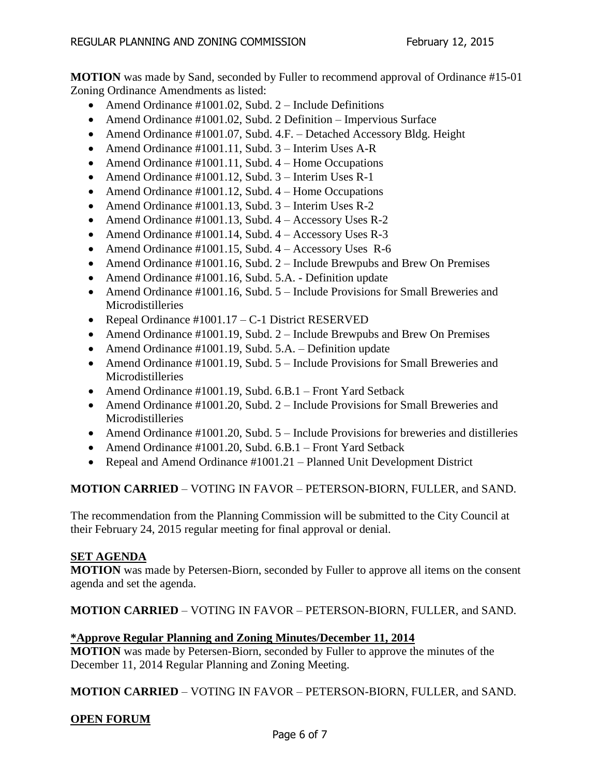**MOTION** was made by Sand, seconded by Fuller to recommend approval of Ordinance #15-01 Zoning Ordinance Amendments as listed:

- Amend Ordinance  $\text{\#1001.02}$ , Subd. 2 Include Definitions
- Amend Ordinance #1001.02, Subd. 2 Definition Impervious Surface
- Amend Ordinance #1001.07, Subd. 4.F. Detached Accessory Bldg. Height
- Amend Ordinance #1001.11, Subd. 3 Interim Uses A-R
- Amend Ordinance #1001.11, Subd. 4 Home Occupations
- Amend Ordinance #1001.12, Subd. 3 Interim Uses R-1
- Amend Ordinance  $\#1001.12$ , Subd. 4 Home Occupations
- Amend Ordinance #1001.13, Subd. 3 Interim Uses R-2
- Amend Ordinance  $\#1001.13$ , Subd.  $4 -$ Accessory Uses R-2
- Amend Ordinance  $\text{\#1001.14}$ , Subd.  $4 -$ Accessory Uses R-3
- Amend Ordinance  $\#1001.15$ , Subd.  $4 -$ Accessory Uses R-6
- Amend Ordinance  $\text{\#1001.16}$ , Subd. 2 Include Brewpubs and Brew On Premises
- Amend Ordinance #1001.16, Subd. 5.A. Definition update
- Amend Ordinance #1001.16, Subd. 5 Include Provisions for Small Breweries and Microdistilleries
- Repeal Ordinance  $\text{\#1001.17} C$ -1 District RESERVED
- Amend Ordinance #1001.19, Subd. 2 Include Brewpubs and Brew On Premises
- Amend Ordinance #1001.19, Subd. 5.A. Definition update
- Amend Ordinance  $\#1001.19$ , Subd. 5 Include Provisions for Small Breweries and Microdistilleries
- Amend Ordinance #1001.19, Subd. 6.B.1 Front Yard Setback
- Amend Ordinance #1001.20, Subd. 2 Include Provisions for Small Breweries and Microdistilleries
- Amend Ordinance  $\#1001.20$ , Subd.  $5$  Include Provisions for breweries and distilleries
- Amend Ordinance #1001.20, Subd. 6.B.1 Front Yard Setback
- Repeal and Amend Ordinance #1001.21 Planned Unit Development District

# **MOTION CARRIED** – VOTING IN FAVOR – PETERSON-BIORN, FULLER, and SAND.

The recommendation from the Planning Commission will be submitted to the City Council at their February 24, 2015 regular meeting for final approval or denial.

## **SET AGENDA**

**MOTION** was made by Petersen-Biorn, seconded by Fuller to approve all items on the consent agenda and set the agenda.

**MOTION CARRIED** – VOTING IN FAVOR – PETERSON-BIORN, FULLER, and SAND.

# **\*Approve Regular Planning and Zoning Minutes/December 11, 2014**

**MOTION** was made by Petersen-Biorn, seconded by Fuller to approve the minutes of the December 11, 2014 Regular Planning and Zoning Meeting.

**MOTION CARRIED** – VOTING IN FAVOR – PETERSON-BIORN, FULLER, and SAND.

# **OPEN FORUM**